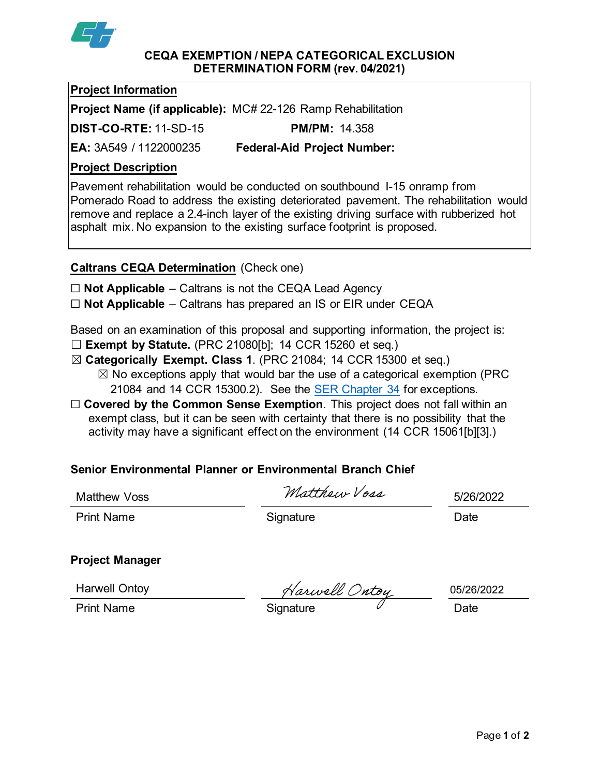

#### **CEQA EXEMPTION / NEPA CATEGORICAL EXCLUSION DETERMINATION FORM (rev. 04/2021)**

#### **Project Information**

**Project Name (if applicable):** MC# 22-126 Ramp Rehabilitation

**DIST-CO-RTE:** 11-SD-15 **PM/PM:** 14.358

**EA:** 3A549 / 1122000235 **Federal-Aid Project Number:**

## **Project Description**

Pavement rehabilitation would be conducted on southbound I-15 onramp from Pomerado Road to address the existing deteriorated pavement. The rehabilitation would remove and replace a 2.4-inch layer of the existing driving surface with rubberized hot asphalt mix. No expansion to the existing surface footprint is proposed.

## **Caltrans CEQA Determination** (Check one)

☐ **Not Applicable** – Caltrans is not the CEQA Lead Agency

☐ **Not Applicable** – Caltrans has prepared an IS or EIR under CEQA

Based on an examination of this proposal and supporting information, the project is:

- ☐ **Exempt by Statute.** (PRC 21080[b]; 14 CCR 15260 et seq.)
- ☒ **Categorically Exempt. Class 1**. (PRC 21084; 14 CCR 15300 et seq.)
	- $\boxtimes$  No exceptions apply that would bar the use of a categorical exemption (PRC 21084 and 14 CCR 15300.2). See the [SER Chapter 34](https://dot.ca.gov/programs/environmental-analysis/standard-environmental-reference-ser/volume-1-guidance-for-compliance/ch-34-exemptions-to-ceqa#except) for exceptions.
- □ **Covered by the Common Sense Exemption**. This project does not fall within an exempt class, but it can be seen with certainty that there is no possibility that the activity may have a significant effect on the environment (14 CCR 15061[b][3].)

## **Senior Environmental Planner or Environmental Branch Chief**

Matthew Voss  $Matthev Vosa$  5/26/2022

Print Name **Signature Date** 

# **Project Manager**

Harwell Ontoy

Harwell Ontoy<br>Print Name Trint Name Signature Charles Context Date

05/26/2022